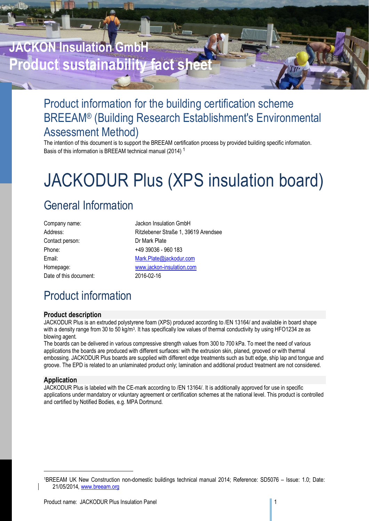# **JACKON Insulation GmbH Product sustainability fact she**

# Product information for the building certification scheme BREEAM® (Building Research Establishment's Environmental Assessment Method)

The intention of this document is to support the BREEAM certification process by provided building specific information. Basis of this information is BREEAM technical manual (2014) <sup>1</sup>

# JACKODUR Plus (XPS insulation board)

# General Information

| Company name:          |
|------------------------|
| Address:               |
| Contact person:        |
| Phone:                 |
| Email:                 |
| Homepage:              |
| Date of this document: |

Jackon Insulation GmbH Ritzlebener Straße 1, 39619 Arendsee Dr Mark Plate +49 39036 - 960 183 Mark.Plate@jackodur.com www.jackon-insulation.com 2016-02-16

# Product information

# **Product description**

JACKODUR Plus is an extruded polystyrene foam (XPS) produced according to /EN 13164/ and available in board shape with a density range from 30 to 50 kg/m<sup>3</sup>. It has specifically low values of thermal conductivity by using HFO1234 ze as blowing agent.

The boards can be delivered in various compressive strength values from 300 to 700 kPa. To meet the need of various applications the boards are produced with different surfaces: with the extrusion skin, planed, grooved or with thermal embossing. JACKODUR Plus boards are supplied with different edge treatments such as butt edge, ship lap and tongue and groove. The EPD is related to an unlaminated product only; lamination and additional product treatment are not considered.

# **Application**

l

JACKODUR Plus is labeled with the CE-mark according to /EN 13164/. It is additionally approved for use in specific applications under mandatory or voluntary agreement or certification schemes at the national level. This product is controlled and certified by Notified Bodies, e.g. MPA Dortmund.

<sup>1</sup>BREEAM UK New Construction non-domestic buildings technical manual 2014; Reference: SD5076 – Issue: 1.0; Date: 21/05/2014, www.breeam.org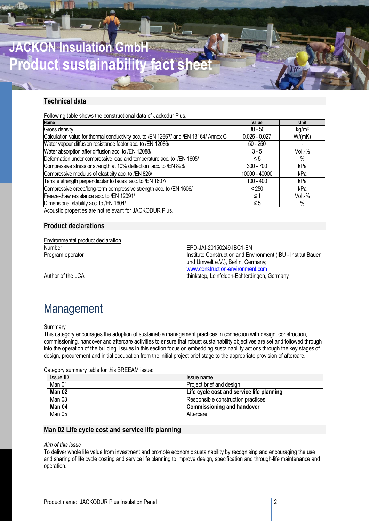

# **Technical data**

Following table shows the constructional data of Jackodur Plus.

| <b>Name</b>                                                                          | Value           | Unit              |
|--------------------------------------------------------------------------------------|-----------------|-------------------|
| Gross density                                                                        | $30 - 50$       | kg/m <sup>3</sup> |
| Calculation value for thermal conductivity acc. to /EN 12667/ and /EN 13164/ Annex C | $0.025 - 0.027$ | W/(mK)            |
| Water vapour diffusion resistance factor acc. to /EN 12086/                          | $50 - 250$      |                   |
| Water absorption after diffusion acc. to /EN 12088/                                  | $3 - 5$         | $Vol. -\%$        |
| Deformation under compressive load and temperature acc. to /EN 1605/                 | $\leq 5$        | %                 |
| Compressive stress or strength at 10% deflection acc. to /EN 826/                    | $300 - 700$     | kPa               |
| Compressive modulus of elasticity acc. to /EN 826/                                   | 10000 - 40000   | kPa               |
| Tensile strength perpendicular to faces acc. to /EN 1607/                            | $100 - 400$     | kPa               |
| Compressive creep/long-term compressive strength acc. to /EN 1606/                   | < 250           | kPa               |
| Freeze-thaw resistance acc. to /EN 12091/                                            | $\leq 1$        | Vol.-%            |
| Dimensional stability acc. to /EN 1604/                                              | $\leq 5$        | %                 |
|                                                                                      |                 |                   |

Acoustic properties are not relevant for JACKODUR Plus.

# **Product declarations**

Environmental product declaration<br>Number

EPD-JAI-20150249-IBC1-EN Program operator **Institute Construction and Environment (IBU - Institut Bauen** und Umwelt e.V.), Berlin, Germany; www.construction-environment.com Author of the LCA thinkstep, Leinfelden-Echterdingen, Germany

# Management

### Summary

This category encourages the adoption of sustainable management practices in connection with design, construction, commissioning, handover and aftercare activities to ensure that robust sustainability objectives are set and followed through into the operation of the building. Issues in this section focus on embedding sustainability actions through the key stages of design, procurement and initial occupation from the initial project brief stage to the appropriate provision of aftercare.

Category summary table for this BREEAM issue:

| Issue ID | Issue name                                |
|----------|-------------------------------------------|
| Man 01   | Project brief and design                  |
| Man 02   | Life cycle cost and service life planning |
| Man 03   | Responsible construction practices        |
| Man 04   | <b>Commissioning and handover</b>         |
| Man 05   | Aftercare                                 |

# **Man 02 Life cycle cost and service life planning**

## *Aim of this issue*

To deliver whole life value from investment and promote economic sustainability by recognising and encouraging the use and sharing of life cycle costing and service life planning to improve design, specification and through-life maintenance and operation.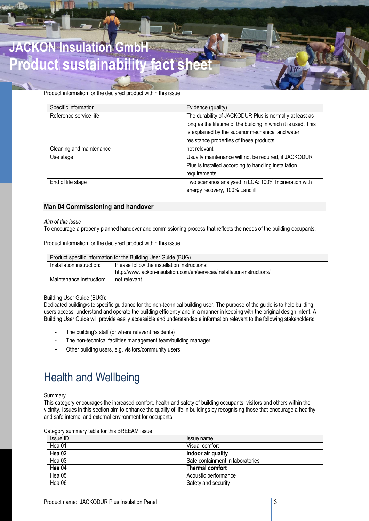# **JACKON Insulation GmbH Product sustainability fact**

Product information for the declared product within this issue:

| Specific information     | Evidence (quality)                                             |
|--------------------------|----------------------------------------------------------------|
| Reference service life   | The durability of JACKODUR Plus is normally at least as        |
|                          | long as the lifetime of the building in which it is used. This |
|                          | is explained by the superior mechanical and water              |
|                          | resistance properties of these products.                       |
| Cleaning and maintenance | not relevant                                                   |
| Use stage                | Usually maintenance will not be required, if JACKODUR          |
|                          | Plus is installed according to handling installation           |
|                          | requirements                                                   |
| End of life stage        | Two scenarios analysed in LCA: 100% Incineration with          |
|                          | energy recovery, 100% Landfill                                 |

# **Man 04 Commissioning and handover**

### *Aim of this issue*

To encourage a properly planned handover and commissioning process that reflects the needs of the building occupants.

Product information for the declared product within this issue:

|                           | Product specific information for the Building User Guide (BUG)          |
|---------------------------|-------------------------------------------------------------------------|
| Installation instruction: | Please follow the installation instructions:                            |
|                           | http://www.jackon-insulation.com/en/services/installation-instructions/ |
| Maintenance instruction:  | not relevant                                                            |

# Building User Guide (BUG):

Dedicated building/site specific guidance for the non-technical building user. The purpose of the guide is to help building users access, understand and operate the building efficiently and in a manner in keeping with the original design intent. A Building User Guide will provide easily accessible and understandable information relevant to the following stakeholders:

- The building's staff (or where relevant residents)
- The non-technical facilities management team/building manager
- Other building users, e.g. visitors/community users

# Health and Wellbeing

# Summary

This category encourages the increased comfort, health and safety of building occupants, visitors and others within the vicinity. Issues in this section aim to enhance the quality of life in buildings by recognising those that encourage a healthy and safe internal and external environment for occupants.

|  | Category summary table for this BREEAM issue |  |
|--|----------------------------------------------|--|
|--|----------------------------------------------|--|

| Issue ID | Issue name                       |
|----------|----------------------------------|
| Hea 01   | Visual comfort                   |
| Hea 02   | Indoor air quality               |
| Hea 03   | Safe containment in laboratories |
| Hea 04   | Thermal comfort                  |
| Hea 05   | Acoustic performance             |
| Hea 06   | Safety and security              |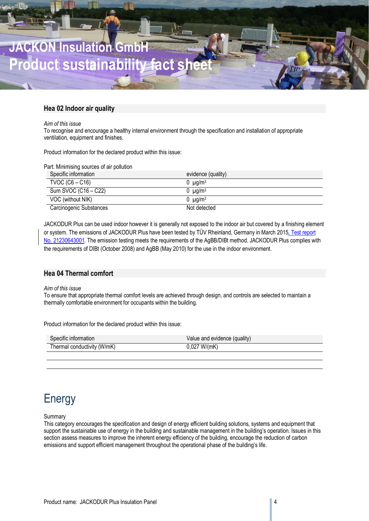

# **Hea 02 Indoor air quality**

### *Aim of this issue*

To recognise and encourage a healthy internal environment through the specification and installation of appropriate ventilation, equipment and finishes.

Product information for the declared product within this issue:

Part: Minimising sources of air pollution

| Specific information    | evidence (quality)              |
|-------------------------|---------------------------------|
| TVOC $(C6 - C16)$       | $0 \mu q/m^3$                   |
| Sum SVOC (C16 – C22)    | $0 \mu g/m3$                    |
| VOC (without NIK)       | $0 \text{ u}$ a/m $3 \text{ u}$ |
| Carcinogenic Substances | Not detected                    |

JACKODUR Plus can be used indoor however it is generally not exposed to the indoor air but covered by a finishing element or system. The emissions of JACKODUR Plus have been tested by TÜV Rheinland, Germany in March 2015, Test report No. 21230643001. The emission testing meets the requirements of the AgBB/DIBt method. JACKODUR Plus complies with the requirements of DIBt (October 2008) and AgBB (May 2010) for the use in the indoor environment.

# **Hea 04 Thermal comfort**

### *Aim of this issue*

To ensure that appropriate thermal comfort levels are achieved through design, and controls are selected to maintain a thermally comfortable environment for occupants within the building.

Product information for the declared product within this issue:

| Specific information        | Value and evidence (quality) |
|-----------------------------|------------------------------|
| Thermal conductivity (W/mK) | $0,027$ W/(mK)               |
|                             |                              |

# **Energy**

Summary

This category encourages the specification and design of energy efficient building solutions, systems and equipment that support the sustainable use of energy in the building and sustainable management in the building's operation. Issues in this section assess measures to improve the inherent energy efficiency of the building, encourage the reduction of carbon emissions and support efficient management throughout the operational phase of the building's life.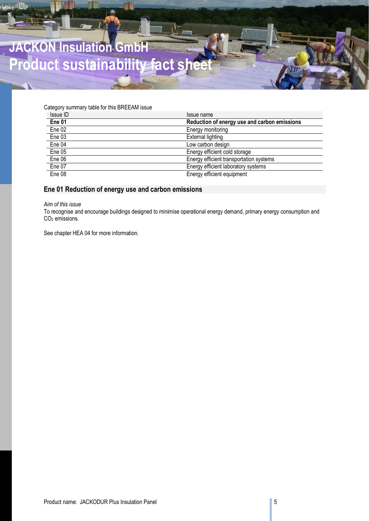

Category summary table for this BREEAM issue

| Issue ID          | Issue name                                   |
|-------------------|----------------------------------------------|
| Ene <sub>01</sub> | Reduction of energy use and carbon emissions |
| Ene 02            | Energy monitoring                            |
| Ene <sub>03</sub> | <b>External lighting</b>                     |
| Ene 04            | Low carbon design                            |
| Ene 05            | Energy efficient cold storage                |
| Ene 06            | Energy efficient transportation systems      |
| Ene 07            | Energy efficient laboratory systems          |
| Ene 08            | Energy efficient equipment                   |

# **Ene 01 Reduction of energy use and carbon emissions**

*Aim of this issue*

To recognise and encourage buildings designed to minimise operational energy demand, primary energy consumption and CO2 emissions.

See chapter HEA 04 for more information.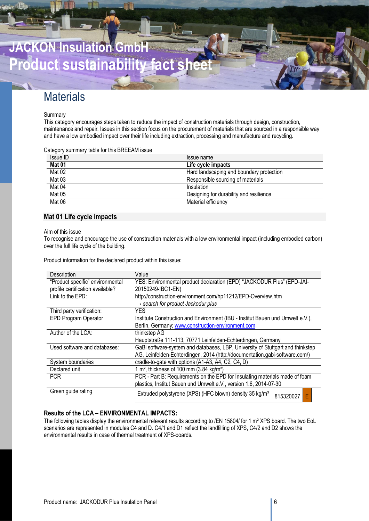

# **Materials**

### **Summary**

This category encourages steps taken to reduce the impact of construction materials through design, construction, maintenance and repair. Issues in this section focus on the procurement of materials that are sourced in a responsible way and have a low embodied impact over their life including extraction, processing and manufacture and recycling.

### Category summary table for this BREEAM issue

| Issue ID      | Issue name                               |
|---------------|------------------------------------------|
| Mat 01        | Life cycle impacts                       |
| Mat 02        | Hard landscaping and boundary protection |
| Mat 03        | Responsible sourcing of materials        |
| Mat 04        | Insulation                               |
| <b>Mat 05</b> | Designing for durability and resilience  |
| <b>Mat 06</b> | Material efficiency                      |

# **Mat 01 Life cycle impacts**

Aim of this issue

To recognise and encourage the use of construction materials with a low environmental impact (including embodied carbon) over the full life cycle of the building.

Product information for the declared product within this issue:

| Description                      | Value                                                                          |
|----------------------------------|--------------------------------------------------------------------------------|
| "Product specific" environmental | YES: Environmental product declaration (EPD) "JACKODUR Plus" (EPD-JAI-         |
| profile certification available? | 20150249-IBC1-EN)                                                              |
| Link to the EPD:                 | http://construction-environment.com/hp11212/EPD-Overview.htm                   |
|                                  | $\rightarrow$ search for product Jackodur plus                                 |
| Third party verification:        | <b>YES</b>                                                                     |
| <b>EPD Program Operator</b>      | Institute Construction and Environment (IBU - Institut Bauen und Umwelt e.V.), |
|                                  | Berlin, Germany; www.construction-environment.com                              |
| Author of the LCA:               | thinkstep AG                                                                   |
|                                  | Hauptstraße 111-113, 70771 Leinfelden-Echterdingen, Germany                    |
| Used software and databases:     | GaBi software-system and databases, LBP, University of Stuttgart and thinkstep |
|                                  | AG, Leinfelden-Echterdingen, 2014 (http://documentation.gabi-software.com/)    |
| System boundaries                | cradle-to-gate with options (A1-A3, A4, C2, C4, D)                             |
| Declared unit                    | 1 m <sup>2</sup> , thickness of 100 mm $(3.84 \text{ kg/m}^2)$                 |
|                                  |                                                                                |
| <b>PCR</b>                       | PCR - Part B: Requirements on the EPD for Insulating materials made of foam    |
|                                  | plastics, Institut Bauen und Umwelt e.V., version 1.6, 2014-07-30              |

# **Results of the LCA – ENVIRONMENTAL IMPACTS:**

The following tables display the environmental relevant results according to /EN 15804/ for 1 m<sup>2</sup> XPS board. The two EoL scenarios are represented in modules C4 and D. C4/1 and D1 reflect the landfilling of XPS, C4/2 and D2 shows the environmental results in case of thermal treatment of XPS-boards.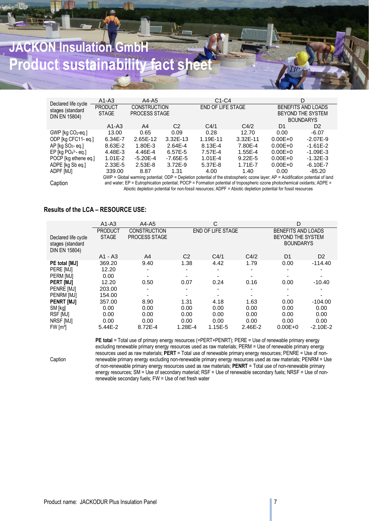# **JACKON Insulation GmbH Product sustainability fact so**

|                                                          | $A1-A3$                        | A4-A5                                                                                                                              |                | $C1-C4$           |             |                | D                                                           |
|----------------------------------------------------------|--------------------------------|------------------------------------------------------------------------------------------------------------------------------------|----------------|-------------------|-------------|----------------|-------------------------------------------------------------|
| Declared life cycle<br>stages (standard<br>DIN EN 15804) | <b>PRODUCT</b><br><b>STAGE</b> | <b>CONSTRUCTION</b><br>PROCESS STAGE                                                                                               |                | END OF LIFE STAGE |             |                | BENEFITS AND LOADS<br>BEYOND THE SYSTEM<br><b>BOUNDARYS</b> |
|                                                          | $A1-A3$                        | A4                                                                                                                                 | C <sub>2</sub> | C4/1              | C4/2        | D <sub>1</sub> | D <sub>2</sub>                                              |
| GWP [kg CO2-eq.]                                         | 13.00                          | 0.65                                                                                                                               | 0.09           | 0.28              | 12.70       | 0.00           | $-6.07$                                                     |
| ODP [kg CFC11-eq.]                                       | 6.34E-7                        | 2.65E-12                                                                                                                           | $3.32E - 13$   | 1.19E-11          | 3.32E-11    | $0.00E + 0$    | $-2.07E-9$                                                  |
| $AP$ [kg $SO2$ - eq.]                                    | 8.63E-2                        | 1.80E-3                                                                                                                            | 2.64E-4        | 8.13E-4           | 7.80E-4     | $0.00E + 0$    | $-1.61E-2$                                                  |
| EP $\left[\log PO_4^3 - eq.\right]$                      | 4.48E-3                        | 4.46E-4                                                                                                                            | 6.57E-5        | 7.57F-4           | 1.55E-4     | $0.00E + 0$    | $-1.09E - 3$                                                |
| POCP [kg ethene eq.]                                     | $1.01E-2$                      | $-5.20E - 4$                                                                                                                       | $-7.65E - 5$   | $1.01E - 4$       | $9.22E - 5$ | $0.00E + 0$    | $-1.32E-3$                                                  |
| ADPE [kg Sb eq.]                                         | $2.33E-5$                      | $2.53E-8$                                                                                                                          | $3.72F-9$      | 5.37E-8           | 1.71E-7     | $0.00E + 0$    | $-6.10E - 7$                                                |
| ADPF [MJ]                                                | 339.00                         | 8.87                                                                                                                               | 1.31           | 4.00              | 1.40        | 0.00           | $-85.20$                                                    |
|                                                          |                                | $GWP = Global$ warming potential; ODP = Depletion potential of the stratospheric ozone layer; AP = Acidification potential of land |                |                   |             |                |                                                             |
| Caption                                                  |                                | and water; EP = Eutrophication potential; POCP = Formation potential of tropospheric ozone photochemical oxidants; ADPE =          |                |                   |             |                |                                                             |

and water; EP = Eutrophication potential; POCP = Formation potential of tropospheric ozone photochemical oxidants; ADPE = Abiotic depletion potential for non-fossil resources; ADPF = Abiotic depletion potential for fossil resources

# **Results of the LCA – RESOURCE USE:**

Caption

|                                                          | $A1-A3$        | $A4 - A5$            |                | С                        |         | D                                            |                |
|----------------------------------------------------------|----------------|----------------------|----------------|--------------------------|---------|----------------------------------------------|----------------|
|                                                          | <b>PRODUCT</b> | <b>CONSTRUCTION</b>  |                | <b>END OF LIFE STAGE</b> |         | BENEFITS AND LOADS                           |                |
| Declared life cycle<br>stages (standard<br>DIN EN 15804) | <b>STAGE</b>   | <b>PROCESS STAGE</b> |                |                          |         | <b>BEYOND THE SYSTEM</b><br><b>BOUNDARYS</b> |                |
|                                                          | $A1 - A3$      | A <sub>4</sub>       | C <sub>2</sub> | C4/1                     | C4/2    | D1                                           | D <sub>2</sub> |
| PE total [MJ]                                            | 369.20         | 9.40                 | 1.38           | 4.42                     | 1.79    | 0.00                                         | $-114.40$      |
| PERE [MJ]                                                | 12.20          |                      |                |                          |         |                                              |                |
| PERM [MJ]                                                | 0.00           |                      |                |                          |         |                                              |                |
| PERT [MJ]                                                | 12.20          | 0.50                 | 0.07           | 0.24                     | 0.16    | 0.00                                         | $-10.40$       |
| PENRE [MJ]                                               | 203.00         |                      |                |                          |         |                                              |                |
| PENRM [MJ]                                               | 154.00         |                      |                |                          |         |                                              |                |
| <b>PENRT [MJ]</b>                                        | 357.00         | 8.90                 | 1.31           | 4.18                     | 1.63    | 0.00                                         | $-104.00$      |
| SM [kg]                                                  | 0.00           | 0.00                 | 0.00           | 0.00                     | 0.00    | 0.00                                         | 0.00           |
| RSF [MJ]                                                 | 0.00           | 0.00                 | 0.00           | 0.00                     | 0.00    | 0.00                                         | 0.00           |
| NRSF [MJ]                                                | 0.00           | 0.00                 | 0.00           | 0.00                     | 0.00    | 0.00                                         | 0.00           |
| FW [m <sup>3</sup> ]                                     | 5.44E-2        | 8.72E-4              | 1.28E-4        | 1.15E-5                  | 2.46E-2 | $0.00E + 0$                                  | $-2.10E-2$     |

PE total = Total use of primary energy resources (=PERT+PENRT); PERE = Use of renewable primary energy excluding renewable primary energy resources used as raw materials; PERM = Use of renewable primary energy resources used as raw materials; **PERT** = Total use of renewable primary energy resources; PENRE = Use of nonrenewable primary energy excluding non-renewable primary energy resources used as raw materials; PENRM = Use of non-renewable primary energy resources used as raw materials; **PENRT** = Total use of non-renewable primary energy resources; SM = Use of secondary material; RSF = Use of renewable secondary fuels; NRSF = Use of nonrenewable secondary fuels; FW = Use of net fresh water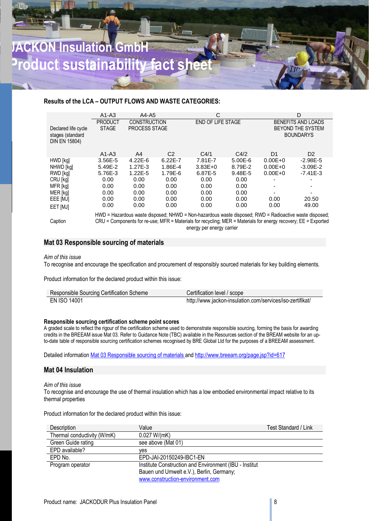# **ACKON Insulation Gmb Product sustainability fact**

# **Results of the LCA – OUTPUT FLOWS AND WASTE CATEGORIES:**

|                                                          | $A1-A3$                                                                                                                                                                                                                                               | $A4 - A5$                            |                | С                        |         |             | D                                                                         |
|----------------------------------------------------------|-------------------------------------------------------------------------------------------------------------------------------------------------------------------------------------------------------------------------------------------------------|--------------------------------------|----------------|--------------------------|---------|-------------|---------------------------------------------------------------------------|
| Declared life cycle<br>stages (standard<br>DIN EN 15804) | <b>PRODUCT</b><br><b>STAGE</b>                                                                                                                                                                                                                        | <b>CONSTRUCTION</b><br>PROCESS STAGE |                | <b>END OF LIFE STAGE</b> |         |             | <b>BENEFITS AND LOADS</b><br><b>BEYOND THE SYSTEM</b><br><b>BOUNDARYS</b> |
|                                                          | $A1-A3$                                                                                                                                                                                                                                               | A4                                   | C <sub>2</sub> | C4/1                     | C4/2    | D1          | D <sub>2</sub>                                                            |
| HWD [kg]                                                 | 3.56E-5                                                                                                                                                                                                                                               | $4.22E - 6$                          | $6.22E - 7$    | 7.81E-7                  | 5.00E-6 | $0.00E + 0$ | $-2.98E - 5$                                                              |
| NHWD [kg]                                                | 5.49E-2                                                                                                                                                                                                                                               | $1.27E-3$                            | 1.86E-4        | $3.83E + 0$              | 8.79E-2 | $0.00E + 0$ | $-3.09E - 2$                                                              |
| RWD [kg]                                                 | 5.76E-3                                                                                                                                                                                                                                               | $1.22E - 5$                          | 1.79E-6        | 6.87E-5                  | 9.48E-5 | $0.00E + 0$ | $-7.41E-3$                                                                |
| CRU [kg]                                                 | 0.00                                                                                                                                                                                                                                                  | 0.00                                 | 0.00           | 0.00                     | 0.00    |             |                                                                           |
| MFR [kg]                                                 | 0.00                                                                                                                                                                                                                                                  | 0.00                                 | 0.00           | 0.00                     | 0.00    |             |                                                                           |
| MER [kg]                                                 | 0.00                                                                                                                                                                                                                                                  | 0.00                                 | 0.00           | 0.00                     | 0.00    |             |                                                                           |
| EEE [MJ]                                                 | 0.00                                                                                                                                                                                                                                                  | 0.00                                 | 0.00           | 0.00                     | 0.00    | 0.00        | 20.50                                                                     |
| EET [MJ]                                                 | 0.00                                                                                                                                                                                                                                                  | 0.00                                 | 0.00           | 0.00                     | 0.00    | 0.00        | 49.00                                                                     |
| Caption                                                  | HWD = Hazardous waste disposed; NHWD = Non-hazardous waste disposed; RWD = Radioactive waste disposed;<br>CRU = Components for re-use; MFR = Materials for recycling; MER = Materials for energy recovery; EE = Exported<br>energy per energy carrier |                                      |                |                          |         |             |                                                                           |

# **Mat 03 Responsible sourcing of materials**

### *Aim of this issue*

To recognise and encourage the specification and procurement of responsibly sourced materials for key building elements.

Product information for the declared product within this issue:

| Responsible Sourcing Certification Scheme | Certification level / scope                               |
|-------------------------------------------|-----------------------------------------------------------|
| EN ISO 14001                              | http://www.jackon-insulation.com/services/iso-zertifikat/ |

# **Responsible sourcing certification scheme point scores**

A graded scale to reflect the rigour of the certification scheme used to demonstrate responsible sourcing, forming the basis for awarding credits in the BREEAM issue Mat 03. Refer to Guidance Note (TBC) available in the Resources section of the BREAM website for an upto-date table of responsible sourcing certification schemes recognised by BRE Global Ltd for the purposes of a BREEAM assessment.

Detailed information Mat 03 Responsible sourcing of materials and http://www.breeam.org/page.jsp?id=617

# **Mat 04 Insulation**

### *Aim of this issue*

To recognise and encourage the use of thermal insulation which has a low embodied environmental impact relative to its thermal properties

Product information for the declared product within this issue:

| <b>Description</b>          | Value                                                  | Test Standard / Link |
|-----------------------------|--------------------------------------------------------|----------------------|
| Thermal conductivity (W/mK) | 0.027 W/(mK)                                           |                      |
| Green Guide rating          | see above (Mat 01)                                     |                      |
| EPD available?              | ves                                                    |                      |
| EPD No.                     | EPD-JAI-20150249-IBC1-EN                               |                      |
| Program operator            | Institute Construction and Environment (IBU - Institut |                      |
|                             | Bauen und Umwelt e.V.), Berlin, Germany;               |                      |
|                             | www.construction-environment.com                       |                      |